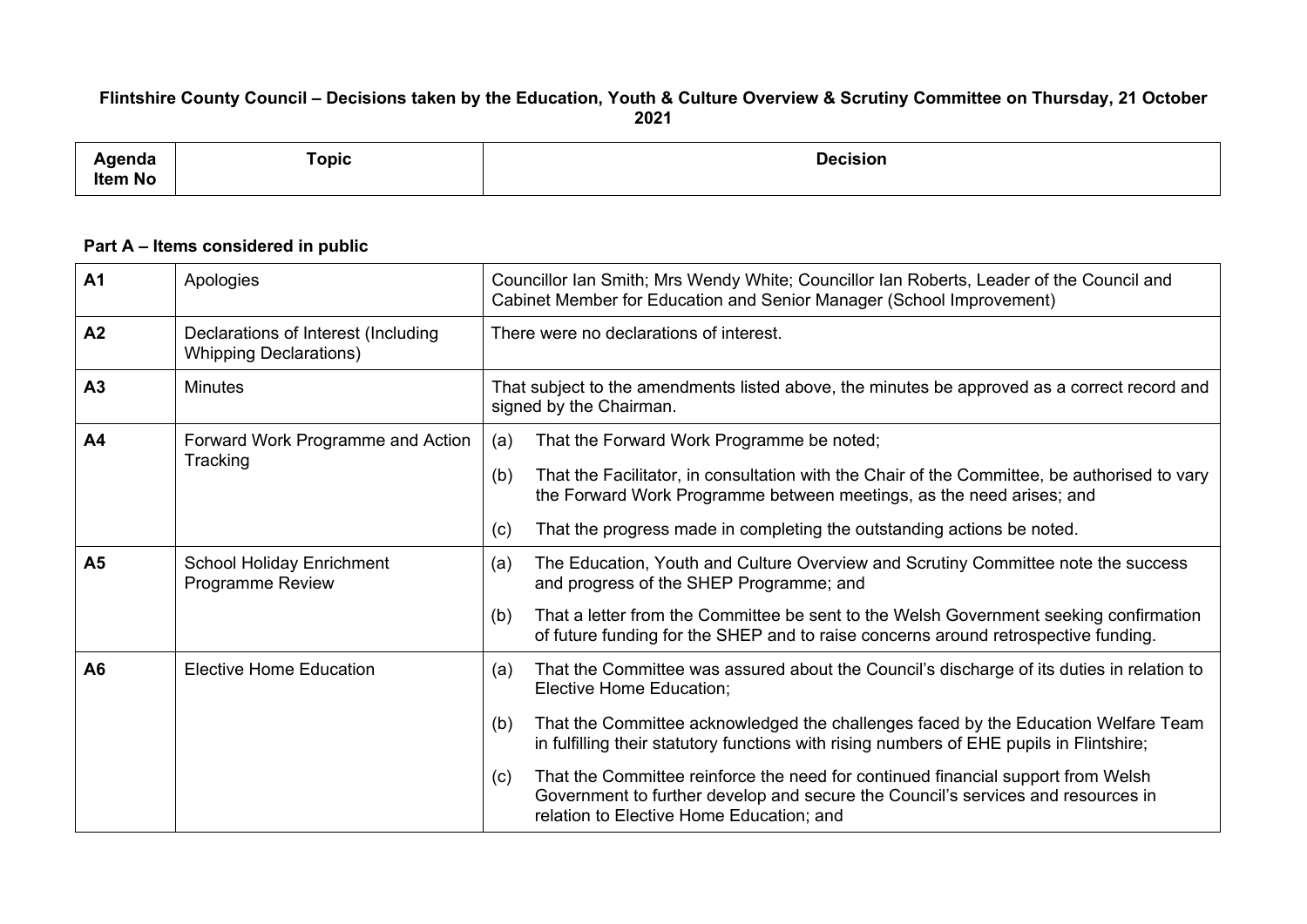## Flintshire County Council - Decisions taken by the Education, Youth & Culture Overview & Scrutiny Committee on Thursday, 21 October **2021**

| ∖genda<br>Item No | Topic | <b>Decision</b><br>. |
|-------------------|-------|----------------------|
|                   |       |                      |

## **Part A – Items considered in public**

| A <sub>1</sub>                                                                | Apologies                                                            | Councillor Ian Smith; Mrs Wendy White; Councillor Ian Roberts, Leader of the Council and<br>Cabinet Member for Education and Senior Manager (School Improvement)                                                        |  |  |
|-------------------------------------------------------------------------------|----------------------------------------------------------------------|-------------------------------------------------------------------------------------------------------------------------------------------------------------------------------------------------------------------------|--|--|
| A2                                                                            | Declarations of Interest (Including<br><b>Whipping Declarations)</b> | There were no declarations of interest.                                                                                                                                                                                 |  |  |
| A <sub>3</sub>                                                                | <b>Minutes</b>                                                       | That subject to the amendments listed above, the minutes be approved as a correct record and<br>signed by the Chairman.                                                                                                 |  |  |
| A <sub>4</sub>                                                                | Forward Work Programme and Action<br>Tracking                        | That the Forward Work Programme be noted;<br>(a)                                                                                                                                                                        |  |  |
|                                                                               |                                                                      | That the Facilitator, in consultation with the Chair of the Committee, be authorised to vary<br>(b)<br>the Forward Work Programme between meetings, as the need arises; and                                             |  |  |
|                                                                               |                                                                      | That the progress made in completing the outstanding actions be noted.<br>(c)                                                                                                                                           |  |  |
| A <sub>5</sub><br><b>School Holiday Enrichment</b><br><b>Programme Review</b> |                                                                      | The Education, Youth and Culture Overview and Scrutiny Committee note the success<br>(a)<br>and progress of the SHEP Programme; and                                                                                     |  |  |
|                                                                               |                                                                      | That a letter from the Committee be sent to the Welsh Government seeking confirmation<br>(b)<br>of future funding for the SHEP and to raise concerns around retrospective funding.                                      |  |  |
| A6                                                                            | <b>Elective Home Education</b>                                       | That the Committee was assured about the Council's discharge of its duties in relation to<br>(a)<br>Elective Home Education;                                                                                            |  |  |
|                                                                               |                                                                      | That the Committee acknowledged the challenges faced by the Education Welfare Team<br>(b)<br>in fulfilling their statutory functions with rising numbers of EHE pupils in Flintshire;                                   |  |  |
|                                                                               |                                                                      | That the Committee reinforce the need for continued financial support from Welsh<br>(c)<br>Government to further develop and secure the Council's services and resources in<br>relation to Elective Home Education; and |  |  |